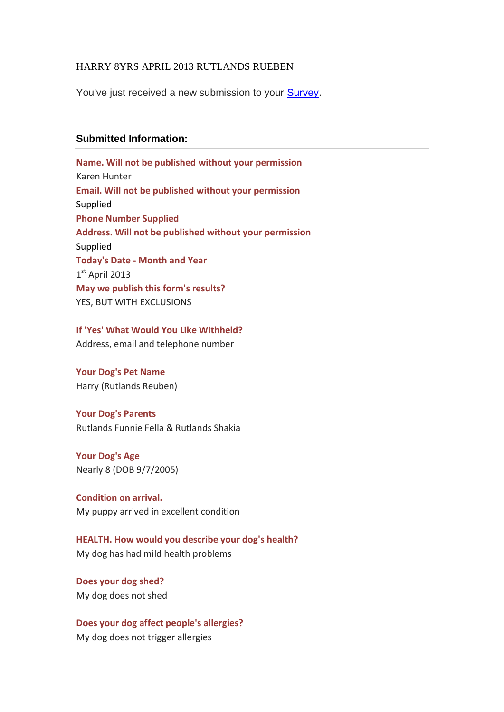## HARRY 8YRS APRIL 2013 RUTLANDS RUEBEN

You've just received a new submission to your **Survey**.

## **Submitted Information:**

**Name. Will not be published without your permission** Karen Hunter **Email. Will not be published without your permission** Supplied **Phone Number Supplied Address. Will not be published without your permission** Supplied **Today's Date - Month and Year** 1 st April 2013 **May we publish this form's results?**  YES, BUT WITH EXCLUSIONS

**If 'Yes' What Would You Like Withheld?**  Address, email and telephone number

**Your Dog's Pet Name**  Harry (Rutlands Reuben)

**Your Dog's Parents**  Rutlands Funnie Fella & Rutlands Shakia

**Your Dog's Age** Nearly 8 (DOB 9/7/2005)

**Condition on arrival.**  My puppy arrived in excellent condition

**HEALTH. How would you describe your dog's health?** My dog has had mild health problems

**Does your dog shed?** My dog does not shed

**Does your dog affect people's allergies?**  My dog does not trigger allergies